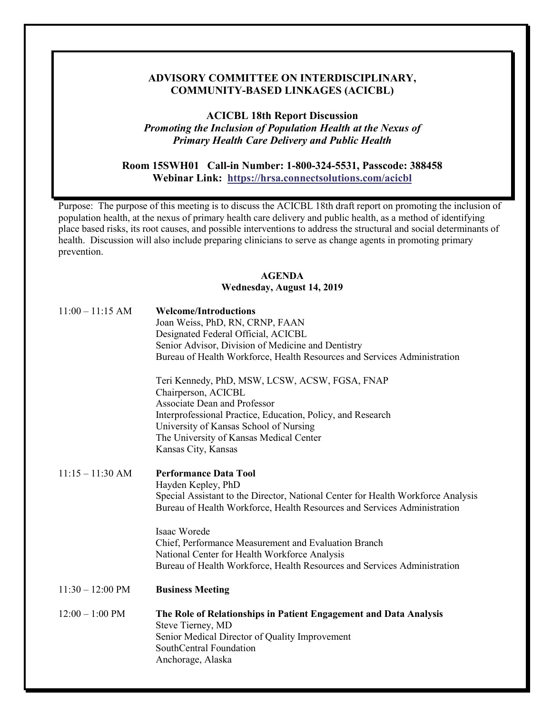## **COMMUNITY-BASED LINKAGES (ACICBL) ADVISORY COMMITTEE ON INTERDISCIPLINARY,**

**ACICBL 18th Report Discussion**  *Promoting the Inclusion of Population Health at the Nexus of Primary Health Care Delivery and Public Health* 

## **Webinar Link: <https://hrsa.connectsolutions.com/acicbl> Room 15SWH01 Call-in Number: 1-800-324-5531, Passcode: 388458**

 Purpose: The purpose of this meeting is to discuss the ACICBL 18th draft report on promoting the inclusion of population health, at the nexus of primary health care delivery and public health, as a method of identifying place based risks, its root causes, and possible interventions to address the structural and social determinants of health. Discussion will also include preparing clinicians to serve as change agents in promoting primary prevention.

## **AGENDA Wednesday, August 14, 2019**

| $11:00 - 11:15$ AM         | <b>Welcome/Introductions</b><br>Joan Weiss, PhD, RN, CRNP, FAAN<br>Designated Federal Official, ACICBL<br>Senior Advisor, Division of Medicine and Dentistry<br>Bureau of Health Workforce, Health Resources and Services Administration |
|----------------------------|------------------------------------------------------------------------------------------------------------------------------------------------------------------------------------------------------------------------------------------|
|                            | Teri Kennedy, PhD, MSW, LCSW, ACSW, FGSA, FNAP<br>Chairperson, ACICBL<br><b>Associate Dean and Professor</b><br>Interprofessional Practice, Education, Policy, and Research<br>University of Kansas School of Nursing                    |
|                            | The University of Kansas Medical Center<br>Kansas City, Kansas                                                                                                                                                                           |
| $11:15 - 11:30$ AM         | <b>Performance Data Tool</b><br>Hayden Kepley, PhD<br>Special Assistant to the Director, National Center for Health Workforce Analysis<br>Bureau of Health Workforce, Health Resources and Services Administration                       |
|                            | Isaac Worede<br>Chief, Performance Measurement and Evaluation Branch<br>National Center for Health Workforce Analysis<br>Bureau of Health Workforce, Health Resources and Services Administration                                        |
| $11:30 - 12:00 \text{ PM}$ | <b>Business Meeting</b>                                                                                                                                                                                                                  |
| $12:00 - 1:00$ PM          | The Role of Relationships in Patient Engagement and Data Analysis<br>Steve Tierney, MD<br>Senior Medical Director of Quality Improvement<br>SouthCentral Foundation<br>Anchorage, Alaska                                                 |